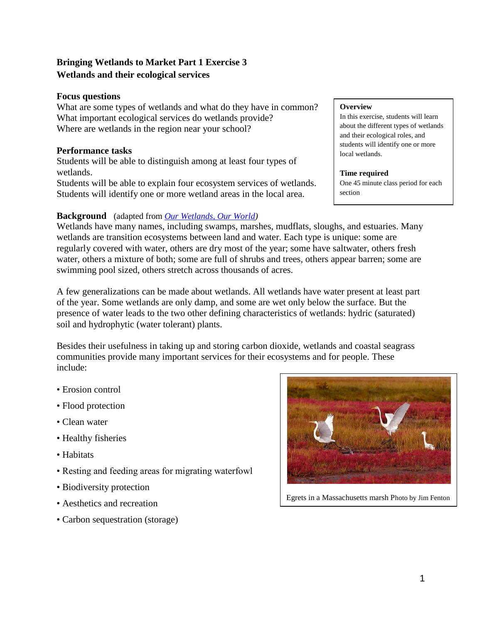# **Bringing Wetlands to Market Part 1 Exercise 3 Wetlands and their ecological services**

# **Focus questions**

What are some types of wetlands and what do they have in common? What important ecological services do wetlands provide? Where are wetlands in the region near your school?

# **Performance tasks**

Students will be able to distinguish among at least four types of wetlands.

Students will be able to explain four ecosystem services of wetlands. Students will identify one or more wetland areas in the local area.

# **Background** (adapted from *[Our Wetlands, Our World\)](http://www.coastal.ca.gov/publiced/UNBweb/owow.html)*

Wetlands have many names, including swamps, marshes, mudflats, sloughs, and estuaries. Many wetlands are transition ecosystems between land and water. Each type is unique: some are regularly covered with water, others are dry most of the year; some have saltwater, others fresh water, others a mixture of both; some are full of shrubs and trees, others appear barren; some are swimming pool sized, others stretch across thousands of acres.

A few generalizations can be made about wetlands. All wetlands have water present at least part of the year. Some wetlands are only damp, and some are wet only below the surface. But the presence of water leads to the two other defining characteristics of wetlands: hydric (saturated) soil and hydrophytic (water tolerant) plants.

Besides their usefulness in taking up and storing carbon dioxide, wetlands and coastal seagrass communities provide many important services for their ecosystems and for people. These include:

- Erosion control
- Flood protection
- Clean water
- Healthy fisheries
- Habitats
- Resting and feeding areas for migrating waterfowl
- Biodiversity protection
- Aesthetics and recreation
- Carbon sequestration (storage)



In this exercise, students will learn about the different types of wetlands and their ecological roles, and students will identify one or more local wetlands.

#### **Time required**

One 45 minute class period for each section



Egrets in a Massachusetts marsh Photo by Jim Fenton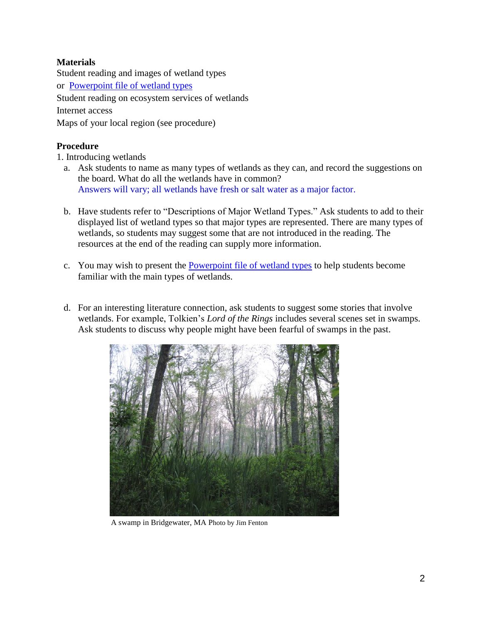# **Materials**

Student reading and images of wetland types or [Powerpoint file of wetland types](http://bluecarbon.wikispaces.com/file/view/Wetland%20types.ppt/444390684/Wetland%20types.ppt) Student reading on ecosystem services of wetlands Internet access Maps of your local region (see procedure)

# **Procedure**

1. Introducing wetlands

- a. Ask students to name as many types of wetlands as they can, and record the suggestions on the board. What do all the wetlands have in common? Answers will vary; all wetlands have fresh or salt water as a major factor.
- b. Have students refer to "Descriptions of Major Wetland Types." Ask students to add to their displayed list of wetland types so that major types are represented. There are many types of wetlands, so students may suggest some that are not introduced in the reading. The resources at the end of the reading can supply more information.
- c. You may wish to present the [Powerpoint file of wetland types](http://bluecarbon.wikispaces.com/file/view/Wetland%20types.ppt/444390684/Wetland%20types.ppt) to help students become familiar with the main types of wetlands.
- d. For an interesting literature connection, ask students to suggest some stories that involve wetlands. For example, Tolkien's *Lord of the Rings* includes several scenes set in swamps. Ask students to discuss why people might have been fearful of swamps in the past.



A swamp in Bridgewater, MA Photo by Jim Fenton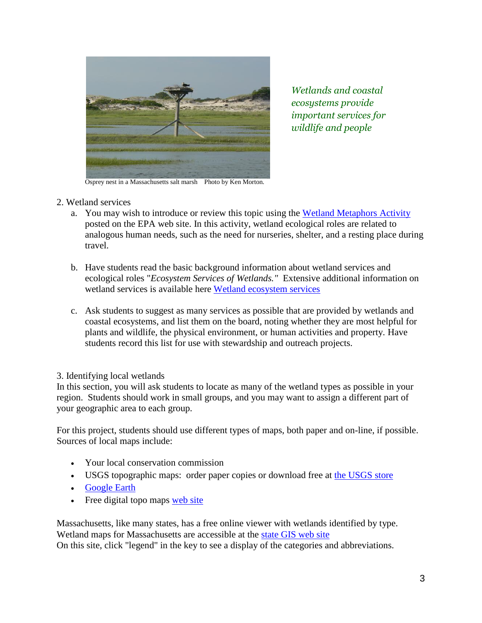

*Wetlands and coastal ecosystems provide important services for wildlife and people*

Osprey nest in a Massachusetts salt marsh Photo by Ken Morton.

- 2. Wetland services
	- a. You may wish to introduce or review this topic using the [Wetland Metaphors Activity](http://www.epa.gov/gmpo/education/pdfs/Activity-WetlandMetaphors.pdf) posted on the EPA web site. In this activity, wetland ecological roles are related to analogous human needs, such as the need for nurseries, shelter, and a resting place during travel.
	- b. Have students read the basic background information about wetland services and ecological roles "*Ecosystem Services of Wetlands."* Extensive additional information on wetland services is available here [Wetland ecosystem services](http://www.ramsar.org/cda/en/ramsar-pubs-info-ecosystem-services/main/ramsar/1-30-103%5E24258_4000_0__)
	- c. Ask students to suggest as many services as possible that are provided by wetlands and coastal ecosystems, and list them on the board, noting whether they are most helpful for plants and wildlife, the physical environment, or human activities and property. Have students record this list for use with stewardship and outreach projects.
- 3. Identifying local wetlands

In this section, you will ask students to locate as many of the wetland types as possible in your region. Students should work in small groups, and you may want to assign a different part of your geographic area to each group.

For this project, students should use different types of maps, both paper and on-line, if possible. Sources of local maps include:

- Your local conservation commission
- USGS topographic maps: order paper copies or download free at [the USGS store](http://store.usgs.gov/b2c_usgs/b2c/start/%28xcm=r3standardpitrex_prd%29/.do)
- [Google Earth](http://www.google.com/earth/index.html)
- Free digital topo maps [web site](http://www.digital-topo-maps.com/)

Massachusetts, like many states, has a free online viewer with wetlands identified by type. Wetland maps for Massachusetts are accessible at the [state GIS web site](http://maps.massgis.state.ma.us/images/dep/omv/wetviewer.htm) On this site, click "legend" in the key to see a display of the categories and abbreviations.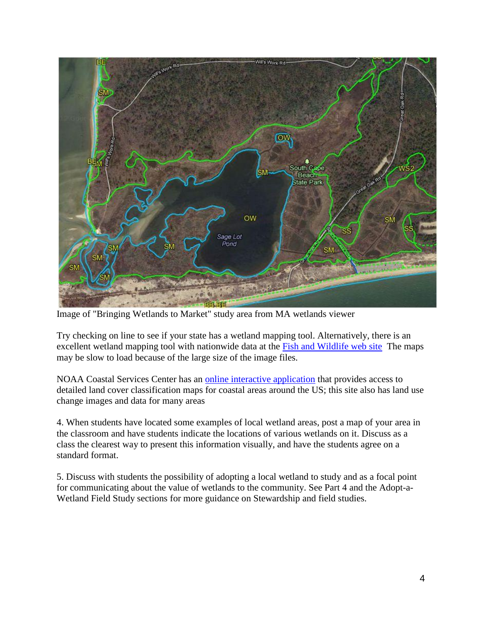

Image of "Bringing Wetlands to Market" study area from MA wetlands viewer

Try checking on line to see if your state has a wetland mapping tool. Alternatively, there is an excellent wetland mapping tool with nationwide data at the [Fish and Wildlife web site](http://www.fws.gov/wetlands/Wetlands-Mapper.html) The maps may be slow to load because of the large size of the image files.

NOAA Coastal Services Center has an [online interactive application](http://www.csc.noaa.gov/ccapatlas/) that provides access to detailed land cover classification maps for coastal areas around the US; this site also has land use change images and data for many areas

4. When students have located some examples of local wetland areas, post a map of your area in the classroom and have students indicate the locations of various wetlands on it. Discuss as a class the clearest way to present this information visually, and have the students agree on a standard format.

5. Discuss with students the possibility of adopting a local wetland to study and as a focal point for communicating about the value of wetlands to the community. See Part 4 and the Adopt-a-Wetland Field Study sections for more guidance on Stewardship and field studies.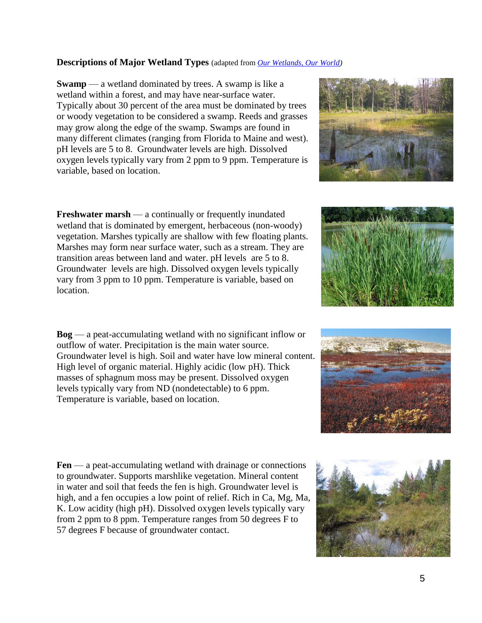5

## **Descriptions of Major Wetland Types** (adapted from *[Our Wetlands, Our World\)](http://www.coastal.ca.gov/publiced/UNBweb/owow.html)*

**Swamp** — a wetland dominated by trees. A swamp is like a wetland within a forest, and may have near-surface water. Typically about 30 percent of the area must be dominated by trees or woody vegetation to be considered a swamp. Reeds and grasses may grow along the edge of the swamp. Swamps are found in many different climates (ranging from Florida to Maine and west). pH levels are 5 to 8. Groundwater levels are high. Dissolved oxygen levels typically vary from 2 ppm to 9 ppm. Temperature is variable, based on location.

**Freshwater marsh** — a continually or frequently inundated wetland that is dominated by emergent, herbaceous (non-woody) vegetation. Marshes typically are shallow with few floating plants. Marshes may form near surface water, such as a stream. They are transition areas between land and water. pH levels are 5 to 8. Groundwater levels are high. Dissolved oxygen levels typically vary from 3 ppm to 10 ppm. Temperature is variable, based on location.

**Bog** — a peat-accumulating wetland with no significant inflow or outflow of water. Precipitation is the main water source. Groundwater level is high. Soil and water have low mineral content. High level of organic material. Highly acidic (low pH). Thick masses of sphagnum moss may be present. Dissolved oxygen levels typically vary from ND (nondetectable) to 6 ppm. Temperature is variable, based on location.

**Fen** — a peat-accumulating wetland with drainage or connections to groundwater. Supports marshlike vegetation. Mineral content in water and soil that feeds the fen is high. Groundwater level is high, and a fen occupies a low point of relief. Rich in Ca, Mg, Ma, K. Low acidity (high pH). Dissolved oxygen levels typically vary from 2 ppm to 8 ppm. Temperature ranges from 50 degrees F to 57 degrees F because of groundwater contact.







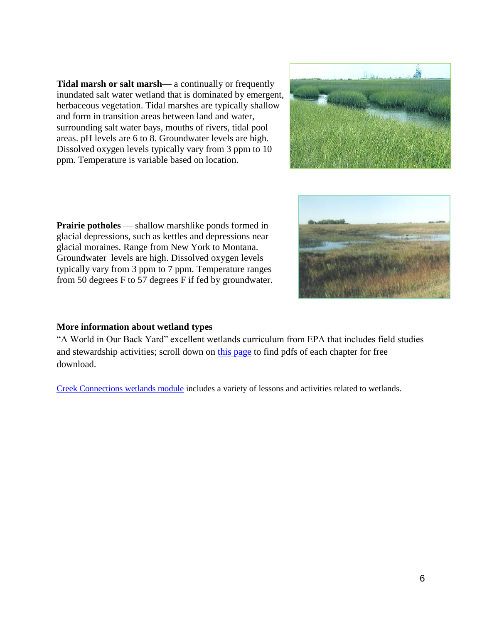**Tidal marsh or salt marsh**— a continually or frequently inundated salt water wetland that is dominated by emergent, herbaceous vegetation. Tidal marshes are typically shallow and form in transition areas between land and water, surrounding salt water bays, mouths of rivers, tidal pool areas. pH levels are 6 to 8. Groundwater levels are high. Dissolved oxygen levels typically vary from 3 ppm to 10 ppm. Temperature is variable based on location.



**Prairie potholes** — shallow marshlike ponds formed in glacial depressions, such as kettles and depressions near glacial moraines. Range from New York to Montana. Groundwater levels are high. Dissolved oxygen levels typically vary from 3 ppm to 7 ppm. Temperature ranges from 50 degrees F to 57 degrees F if fed by groundwater.



## **More information about wetland types**

"A World in Our Back Yard" excellent wetlands curriculum from EPA that includes field studies and stewardship activities; scroll down on [this page](http://www.epa.gov/gmpo/education/) to find pdfs of each chapter for free download.

[Creek Connections wetlands module](http://creekconnections.allegheny.edu/resources-modules/module-descriptions/wetlands-module-1) includes a variety of lessons and activities related to wetlands.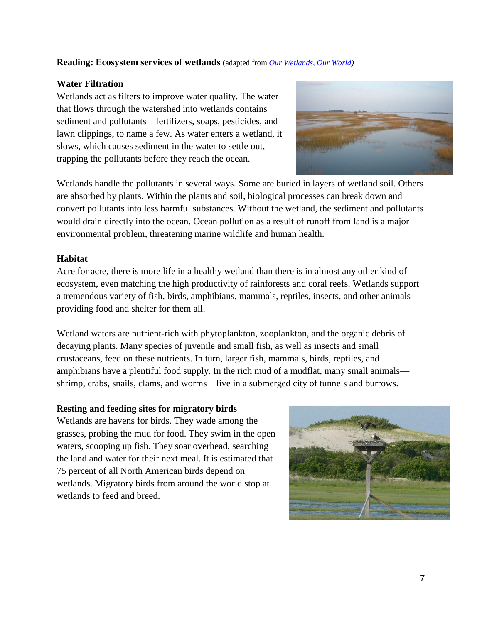## **Reading: Ecosystem services of wetlands** (adapted from *[Our Wetlands, Our World\)](http://www.coastal.ca.gov/publiced/UNBweb/owow.html)*

## **Water Filtration**

Wetlands act as filters to improve water quality. The water that flows through the watershed into wetlands contains sediment and pollutants—fertilizers, soaps, pesticides, and lawn clippings, to name a few. As water enters a wetland, it slows, which causes sediment in the water to settle out, trapping the pollutants before they reach the ocean.



Wetlands handle the pollutants in several ways. Some are buried in layers of wetland soil. Others are absorbed by plants. Within the plants and soil, biological processes can break down and convert pollutants into less harmful substances. Without the wetland, the sediment and pollutants would drain directly into the ocean. Ocean pollution as a result of runoff from land is a major environmental problem, threatening marine wildlife and human health.

## **Habitat**

Acre for acre, there is more life in a healthy wetland than there is in almost any other kind of ecosystem, even matching the high productivity of rainforests and coral reefs. Wetlands support a tremendous variety of fish, birds, amphibians, mammals, reptiles, insects, and other animals providing food and shelter for them all.

Wetland waters are nutrient-rich with phytoplankton, zooplankton, and the organic debris of decaying plants. Many species of juvenile and small fish, as well as insects and small crustaceans, feed on these nutrients. In turn, larger fish, mammals, birds, reptiles, and amphibians have a plentiful food supply. In the rich mud of a mudflat, many small animals shrimp, crabs, snails, clams, and worms—live in a submerged city of tunnels and burrows.

## **Resting and feeding sites for migratory birds**

Wetlands are havens for birds. They wade among the grasses, probing the mud for food. They swim in the open waters, scooping up fish. They soar overhead, searching the land and water for their next meal. It is estimated that 75 percent of all North American birds depend on wetlands. Migratory birds from around the world stop at wetlands to feed and breed.

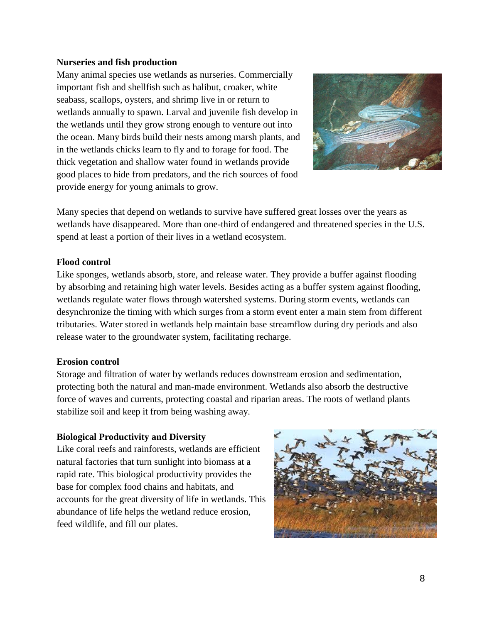## **Nurseries and fish production**

Many animal species use wetlands as nurseries. Commercially important fish and shellfish such as halibut, croaker, white seabass, scallops, oysters, and shrimp live in or return to wetlands annually to spawn. Larval and juvenile fish develop in the wetlands until they grow strong enough to venture out into the ocean. Many birds build their nests among marsh plants, and in the wetlands chicks learn to fly and to forage for food. The thick vegetation and shallow water found in wetlands provide good places to hide from predators, and the rich sources of food provide energy for young animals to grow.



Many species that depend on wetlands to survive have suffered great losses over the years as wetlands have disappeared. More than one-third of endangered and threatened species in the U.S. spend at least a portion of their lives in a wetland ecosystem.

#### **Flood control**

Like sponges, wetlands absorb, store, and release water. They provide a buffer against flooding by absorbing and retaining high water levels. Besides acting as a buffer system against flooding, wetlands regulate water flows through watershed systems. During storm events, wetlands can desynchronize the timing with which surges from a storm event enter a main stem from different tributaries. Water stored in wetlands help maintain base streamflow during dry periods and also release water to the groundwater system, facilitating recharge.

## **Erosion control**

Storage and filtration of water by wetlands reduces downstream erosion and sedimentation, protecting both the natural and man-made environment. Wetlands also absorb the destructive force of waves and currents, protecting coastal and riparian areas. The roots of wetland plants stabilize soil and keep it from being washing away.

## **Biological Productivity and Diversity**

Like coral reefs and rainforests, wetlands are efficient natural factories that turn sunlight into biomass at a rapid rate. This biological productivity provides the base for complex food chains and habitats, and accounts for the great diversity of life in wetlands. This abundance of life helps the wetland reduce erosion, feed wildlife, and fill our plates.